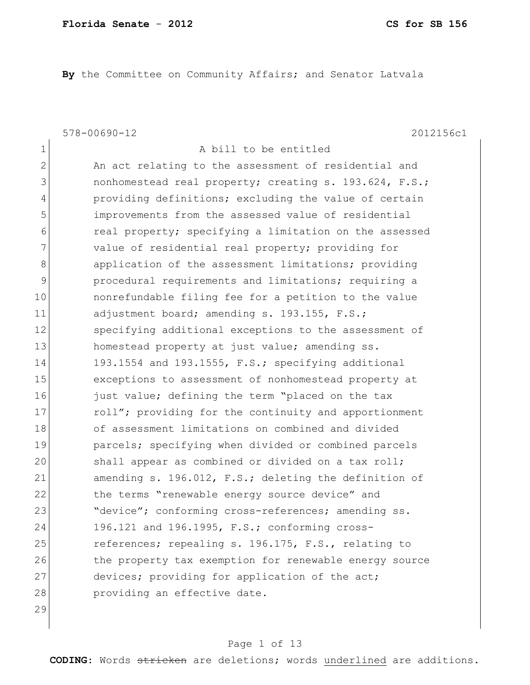**By** the Committee on Community Affairs; and Senator Latvala

578-00690-12 2012156c1

| $\mathbf 1$  | A bill to be entitled                                  |
|--------------|--------------------------------------------------------|
| $\mathbf{2}$ | An act relating to the assessment of residential and   |
| 3            | nonhomestead real property; creating s. 193.624, F.S.; |
| 4            | providing definitions; excluding the value of certain  |
| 5            | improvements from the assessed value of residential    |
| 6            | real property; specifying a limitation on the assessed |
| 7            | value of residential real property; providing for      |
| 8            | application of the assessment limitations; providing   |
| $\mathsf 9$  | procedural requirements and limitations; requiring a   |
| 10           | nonrefundable filing fee for a petition to the value   |
| 11           | adjustment board; amending s. 193.155, F.S.;           |
| 12           | specifying additional exceptions to the assessment of  |
| 13           | homestead property at just value; amending ss.         |
| 14           | 193.1554 and 193.1555, F.S.; specifying additional     |
| 15           | exceptions to assessment of nonhomestead property at   |
| 16           | just value; defining the term "placed on the tax       |
| 17           | roll"; providing for the continuity and apportionment  |
| 18           | of assessment limitations on combined and divided      |
| 19           | parcels; specifying when divided or combined parcels   |
| 20           | shall appear as combined or divided on a tax roll;     |
| 21           | amending s. 196.012, F.S.; deleting the definition of  |
| 22           | the terms "renewable energy source device" and         |
| 23           | "device"; conforming cross-references; amending ss.    |
| 24           | 196.121 and 196.1995, F.S.; conforming cross-          |
| 25           | references; repealing s. 196.175, F.S., relating to    |
| 26           | the property tax exemption for renewable energy source |
| 27           | devices; providing for application of the act;         |
| 28           | providing an effective date.                           |
| 29           |                                                        |

# Page 1 of 13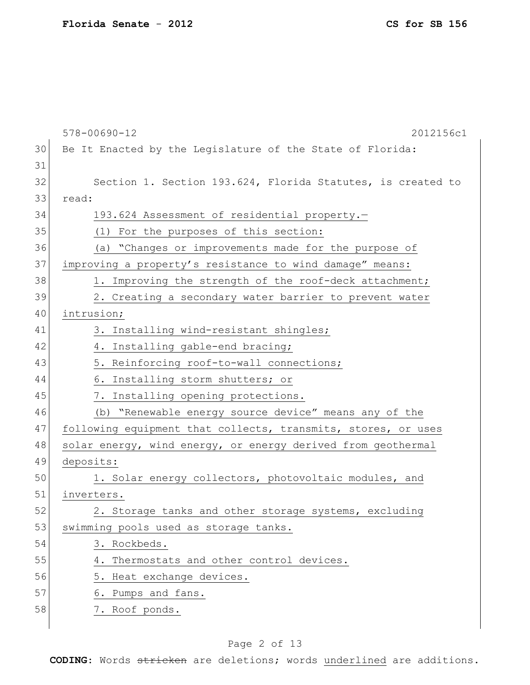|    | $578 - 00690 - 12$<br>2012156c1                               |
|----|---------------------------------------------------------------|
| 30 | Be It Enacted by the Legislature of the State of Florida:     |
| 31 |                                                               |
| 32 | Section 1. Section 193.624, Florida Statutes, is created to   |
| 33 | read:                                                         |
| 34 | 193.624 Assessment of residential property.-                  |
| 35 | (1) For the purposes of this section:                         |
| 36 | (a) "Changes or improvements made for the purpose of          |
| 37 | improving a property's resistance to wind damage" means:      |
| 38 | 1. Improving the strength of the roof-deck attachment;        |
| 39 | 2. Creating a secondary water barrier to prevent water        |
| 40 | intrusion;                                                    |
| 41 | 3. Installing wind-resistant shingles;                        |
| 42 | 4. Installing gable-end bracing;                              |
| 43 | 5. Reinforcing roof-to-wall connections;                      |
| 44 | 6. Installing storm shutters; or                              |
| 45 | 7. Installing opening protections.                            |
| 46 | (b) "Renewable energy source device" means any of the         |
| 47 | following equipment that collects, transmits, stores, or uses |
| 48 | solar energy, wind energy, or energy derived from geothermal  |
| 49 | deposits:                                                     |
| 50 | 1. Solar energy collectors, photovoltaic modules, and         |
| 51 | inverters.                                                    |
| 52 | 2. Storage tanks and other storage systems, excluding         |
| 53 | swimming pools used as storage tanks.                         |
| 54 | 3. Rockbeds.                                                  |
| 55 | 4. Thermostats and other control devices.                     |
| 56 | 5. Heat exchange devices.                                     |
| 57 | 6. Pumps and fans.                                            |
| 58 | 7. Roof ponds.                                                |
|    |                                                               |

# Page 2 of 13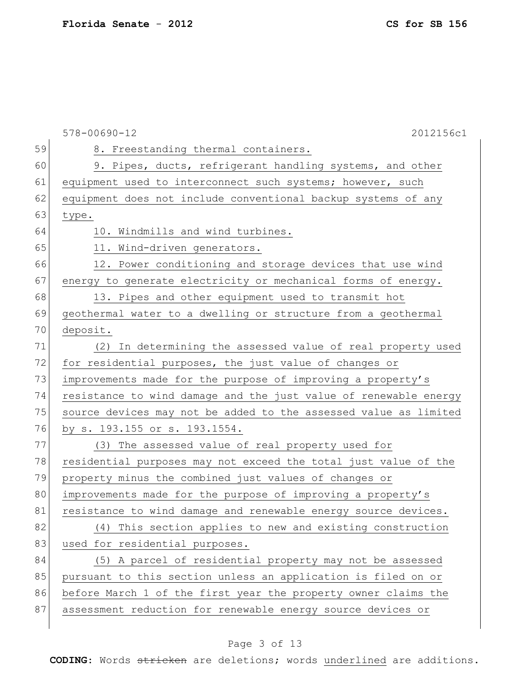|    | $578 - 00690 - 12$<br>2012156c1                                  |
|----|------------------------------------------------------------------|
| 59 | 8. Freestanding thermal containers.                              |
| 60 | 9. Pipes, ducts, refrigerant handling systems, and other         |
| 61 | equipment used to interconnect such systems; however, such       |
| 62 | equipment does not include conventional backup systems of any    |
| 63 | type.                                                            |
| 64 | 10. Windmills and wind turbines.                                 |
| 65 | 11. Wind-driven generators.                                      |
| 66 | 12. Power conditioning and storage devices that use wind         |
| 67 | energy to generate electricity or mechanical forms of energy.    |
| 68 | 13. Pipes and other equipment used to transmit hot               |
| 69 | geothermal water to a dwelling or structure from a geothermal    |
| 70 | deposit.                                                         |
| 71 | (2) In determining the assessed value of real property used      |
| 72 | for residential purposes, the just value of changes or           |
| 73 | improvements made for the purpose of improving a property's      |
| 74 | resistance to wind damage and the just value of renewable energy |
| 75 | source devices may not be added to the assessed value as limited |
| 76 | by s. 193.155 or s. 193.1554.                                    |
| 77 | (3) The assessed value of real property used for                 |
| 78 | residential purposes may not exceed the total just value of the  |
| 79 | property minus the combined just values of changes or            |
| 80 | improvements made for the purpose of improving a property's      |
| 81 | resistance to wind damage and renewable energy source devices.   |
| 82 | (4) This section applies to new and existing construction        |
| 83 | used for residential purposes.                                   |
| 84 | (5) A parcel of residential property may not be assessed         |
| 85 | pursuant to this section unless an application is filed on or    |
| 86 | before March 1 of the first year the property owner claims the   |
| 87 | assessment reduction for renewable energy source devices or      |
|    |                                                                  |

# Page 3 of 13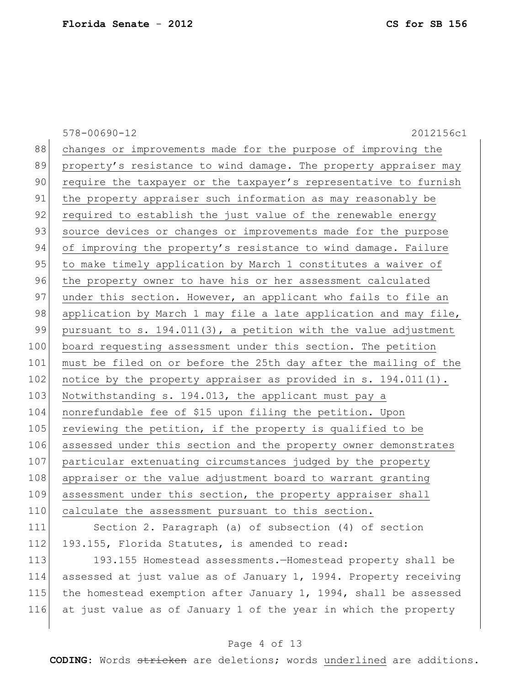578-00690-12 2012156c1 88 changes or improvements made for the purpose of improving the 89 property's resistance to wind damage. The property appraiser may 90 require the taxpayer or the taxpayer's representative to furnish 91 | the property appraiser such information as may reasonably be 92 required to establish the just value of the renewable energy 93 source devices or changes or improvements made for the purpose 94 of improving the property's resistance to wind damage. Failure 95 to make timely application by March 1 constitutes a waiver of 96 the property owner to have his or her assessment calculated 97 under this section. However, an applicant who fails to file an 98 application by March 1 may file a late application and may file, 99 pursuant to s.  $194.011(3)$ , a petition with the value adjustment 100 board requesting assessment under this section. The petition 101 must be filed on or before the 25th day after the mailing of the 102 notice by the property appraiser as provided in s. 194.011(1). 103 Notwithstanding s. 194.013, the applicant must pay a 104 nonrefundable fee of \$15 upon filing the petition. Upon 105 reviewing the petition, if the property is qualified to be 106 assessed under this section and the property owner demonstrates 107 particular extenuating circumstances judged by the property 108 appraiser or the value adjustment board to warrant granting 109 assessment under this section, the property appraiser shall 110 calculate the assessment pursuant to this section. 111 Section 2. Paragraph (a) of subsection (4) of section

112 193.155, Florida Statutes, is amended to read:

113 193.155 Homestead assessments.—Homestead property shall be 114 assessed at just value as of January 1, 1994. Property receiving 115 the homestead exemption after January 1, 1994, shall be assessed 116 at just value as of January 1 of the year in which the property

### Page 4 of 13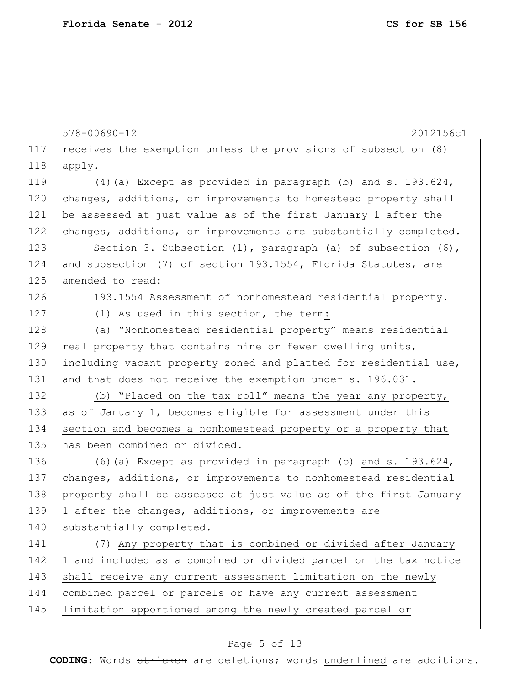|     | $578 - 00690 - 12$<br>2012156c1                                     |
|-----|---------------------------------------------------------------------|
| 117 | receives the exemption unless the provisions of subsection (8)      |
| 118 | apply.                                                              |
| 119 | $(4)$ (a) Except as provided in paragraph (b) and s. 193.624,       |
| 120 | changes, additions, or improvements to homestead property shall     |
| 121 | be assessed at just value as of the first January 1 after the       |
| 122 | changes, additions, or improvements are substantially completed.    |
| 123 | Section 3. Subsection $(1)$ , paragraph $(a)$ of subsection $(6)$ , |
| 124 | and subsection (7) of section 193.1554, Florida Statutes, are       |
| 125 | amended to read:                                                    |
| 126 | 193.1554 Assessment of nonhomestead residential property.-          |
| 127 | (1) As used in this section, the term:                              |
| 128 | (a) "Nonhomestead residential property" means residential           |
| 129 | real property that contains nine or fewer dwelling units,           |
| 130 | including vacant property zoned and platted for residential use,    |
| 131 | and that does not receive the exemption under s. 196.031.           |
| 132 | (b) "Placed on the tax roll" means the year any property,           |
| 133 | as of January 1, becomes eligible for assessment under this         |
| 134 | section and becomes a nonhomestead property or a property that      |
| 135 | has been combined or divided.                                       |
| 136 | $(6)$ (a) Except as provided in paragraph (b) and s. 193.624,       |
| 137 | changes, additions, or improvements to nonhomestead residential     |
| 138 | property shall be assessed at just value as of the first January    |
| 139 | 1 after the changes, additions, or improvements are                 |
| 140 | substantially completed.                                            |
| 141 | (7) Any property that is combined or divided after January          |
| 142 | 1 and included as a combined or divided parcel on the tax notice    |
| 143 | shall receive any current assessment limitation on the newly        |
| 144 | combined parcel or parcels or have any current assessment           |
| 145 | limitation apportioned among the newly created parcel or            |
|     |                                                                     |

# Page 5 of 13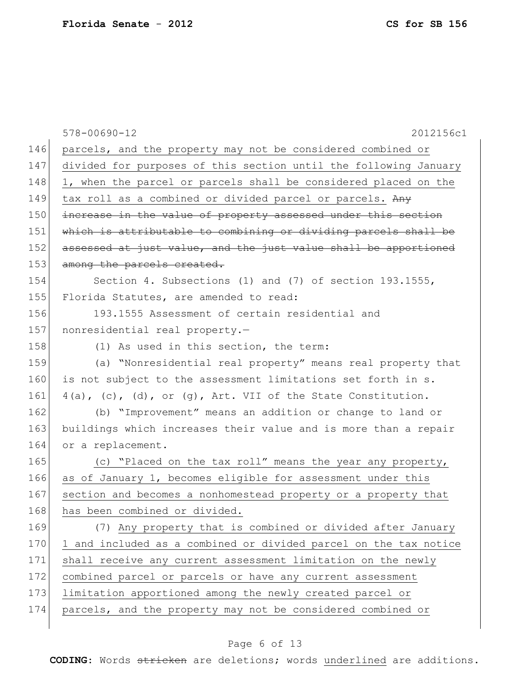|     | $578 - 00690 - 12$<br>2012156c1                                  |
|-----|------------------------------------------------------------------|
| 146 | parcels, and the property may not be considered combined or      |
| 147 | divided for purposes of this section until the following January |
| 148 | 1, when the parcel or parcels shall be considered placed on the  |
| 149 | tax roll as a combined or divided parcel or parcels. Any         |
| 150 | increase in the value of property assessed under this section    |
| 151 | which is attributable to combining or dividing parcels shall be  |
| 152 | assessed at just value, and the just value shall be apportioned  |
| 153 | among the parcels created.                                       |
| 154 | Section 4. Subsections (1) and (7) of section 193.1555,          |
| 155 | Florida Statutes, are amended to read:                           |
| 156 | 193.1555 Assessment of certain residential and                   |
| 157 | nonresidential real property.-                                   |
| 158 | (1) As used in this section, the term:                           |
| 159 | (a) "Nonresidential real property" means real property that      |
| 160 | is not subject to the assessment limitations set forth in s.     |
| 161 | $4(a)$ , (c), (d), or (g), Art. VII of the State Constitution.   |
| 162 | (b) "Improvement" means an addition or change to land or         |
| 163 | buildings which increases their value and is more than a repair  |
| 164 | or a replacement.                                                |
| 165 | (c) "Placed on the tax roll" means the year any property,        |
| 166 | as of January 1, becomes eligible for assessment under this      |
| 167 | section and becomes a nonhomestead property or a property that   |
| 168 | has been combined or divided.                                    |
| 169 | (7) Any property that is combined or divided after January       |
| 170 | 1 and included as a combined or divided parcel on the tax notice |
| 171 | shall receive any current assessment limitation on the newly     |
| 172 | combined parcel or parcels or have any current assessment        |
| 173 | limitation apportioned among the newly created parcel or         |
| 174 | parcels, and the property may not be considered combined or      |
|     |                                                                  |

# Page 6 of 13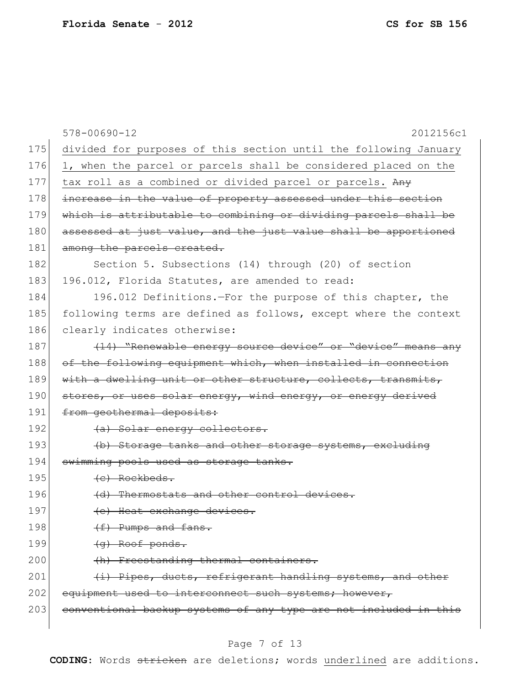|     | $578 - 00690 - 12$<br>2012156c1                                  |
|-----|------------------------------------------------------------------|
| 175 | divided for purposes of this section until the following January |
| 176 | 1, when the parcel or parcels shall be considered placed on the  |
| 177 | tax roll as a combined or divided parcel or parcels. Any         |
| 178 | increase in the value of property assessed under this section    |
| 179 | which is attributable to combining or dividing parcels shall be  |
| 180 | assessed at just value, and the just value shall be apportioned  |
| 181 | among the parcels created.                                       |
| 182 | Section 5. Subsections (14) through (20) of section              |
| 183 | 196.012, Florida Statutes, are amended to read:                  |
| 184 | 196.012 Definitions.-For the purpose of this chapter, the        |
| 185 | following terms are defined as follows, except where the context |
| 186 | clearly indicates otherwise:                                     |
| 187 | (14) "Renewable energy source device" or "device" means any      |
| 188 | of the following equipment which, when installed in connection   |
| 189 | with a dwelling unit or other structure, collects, transmits,    |
| 190 | stores, or uses solar energy, wind energy, or energy derived     |
| 191 | from geothermal deposits:                                        |
| 192 | (a) Solar energy collectors.                                     |
| 193 | (b) Storage tanks and other storage systems, excluding           |
| 194 | swimming pools used as storage tanks.                            |
| 195 | $(e)$ Rockbeds.                                                  |
| 196 | (d) Thermostats and other control devices.                       |
| 197 | (e) Heat exchange devices.                                       |
| 198 | (f) Pumps and fans.                                              |
| 199 | (g) Roof ponds.                                                  |
| 200 | (h) Freestanding thermal containers.                             |
| 201 | (i) Pipes, ducts, refrigerant handling systems, and other        |
| 202 | equipment used to interconnect such systems; however,            |
| 203 | conventional backup systems of any type are not included in this |
|     |                                                                  |

# Page 7 of 13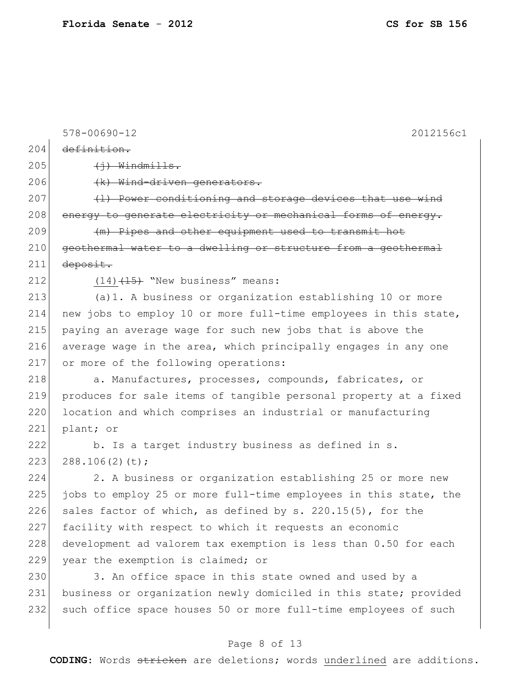578-00690-12 2012156c1  $204$  definition.  $205$   $\longleftrightarrow$  Windmills. 206 (k) Wind-driven generators.  $207$  (1) Power conditioning and storage devices that use wind 208 energy to generate electricity or mechanical forms of energy. 209 (m) Pipes and other equipment used to transmit hot 210 geothermal water to a dwelling or structure from a geothermal  $211$  deposit. 212  $(14)$   $(15)$  "New business" means: 213 (a)1. A business or organization establishing 10 or more 214 new jobs to employ 10 or more full-time employees in this state, 215 paying an average wage for such new jobs that is above the 216 average wage in the area, which principally engages in any one 217 or more of the following operations: 218 a. Manufactures, processes, compounds, fabricates, or 219 produces for sale items of tangible personal property at a fixed 220 location and which comprises an industrial or manufacturing 221 plant; or 222 b. Is a target industry business as defined in s.  $223$   $288.106(2)(t)$ ; 224 2. A business or organization establishing 25 or more new 225 jobs to employ 25 or more full-time employees in this state, the 226 sales factor of which, as defined by s. 220.15(5), for the 227 facility with respect to which it requests an economic 228 development ad valorem tax exemption is less than 0.50 for each 229 year the exemption is claimed; or 230 3. An office space in this state owned and used by a 231 business or organization newly domiciled in this state; provided 232 such office space houses 50 or more full-time employees of such

### Page 8 of 13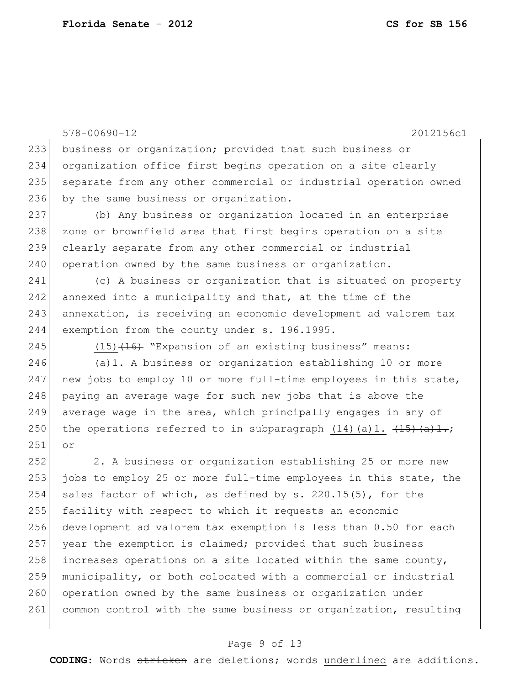578-00690-12 2012156c1 233 business or organization; provided that such business or 234 organization office first begins operation on a site clearly 235 separate from any other commercial or industrial operation owned 236 by the same business or organization. 237 (b) Any business or organization located in an enterprise 238 zone or brownfield area that first begins operation on a site 239 clearly separate from any other commercial or industrial 240 operation owned by the same business or organization. 241 (c) A business or organization that is situated on property 242 annexed into a municipality and that, at the time of the 243 annexation, is receiving an economic development ad valorem tax 244 exemption from the county under s. 196.1995. 245 (15)<del>(16)</del> "Expansion of an existing business" means: 246 (a)1. A business or organization establishing 10 or more 247 new jobs to employ 10 or more full-time employees in this state, 248 paying an average wage for such new jobs that is above the 249 average wage in the area, which principally engages in any of 250 the operations referred to in subparagraph  $(14)$  (a)1.  $\overline{(15) (a)+}$ ; 251 or 252 2. A business or organization establishing 25 or more new 253 jobs to employ 25 or more full-time employees in this state, the 254 sales factor of which, as defined by s. 220.15(5), for the 255 facility with respect to which it requests an economic 256 development ad valorem tax exemption is less than 0.50 for each 257 year the exemption is claimed; provided that such business 258 increases operations on a site located within the same county, 259 municipality, or both colocated with a commercial or industrial 260 operation owned by the same business or organization under 261 common control with the same business or organization, resulting

### Page 9 of 13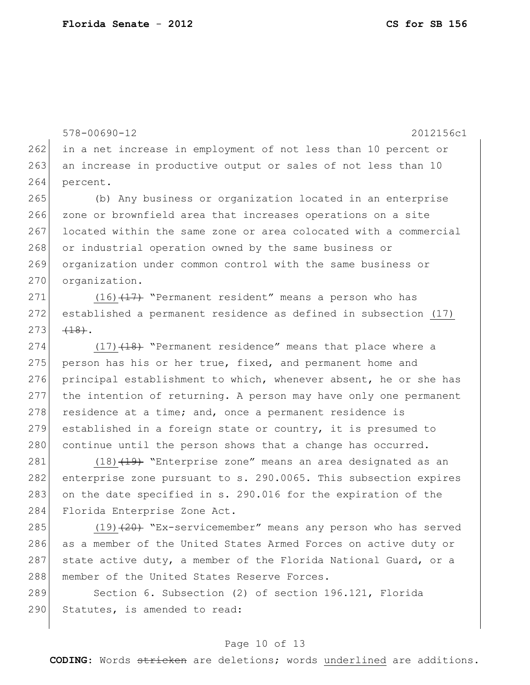578-00690-12 2012156c1 262 in a net increase in employment of not less than 10 percent or 263 an increase in productive output or sales of not less than 10 264 percent.

265 (b) Any business or organization located in an enterprise 266 zone or brownfield area that increases operations on a site 267 located within the same zone or area colocated with a commercial 268 or industrial operation owned by the same business or 269 organization under common control with the same business or 270 organization.

271 (16)<del>(17)</del> "Permanent resident" means a person who has 272 established a permanent residence as defined in subsection (17)  $273$   $(18)$ .

274 (17)<del>(18)</del> "Permanent residence" means that place where a 275 person has his or her true, fixed, and permanent home and 276 principal establishment to which, whenever absent, he or she has 277 the intention of returning. A person may have only one permanent  $278$  residence at a time; and, once a permanent residence is 279 established in a foreign state or country, it is presumed to 280 continue until the person shows that a change has occurred.

 $(18)$   $(19)$  "Enterprise zone" means an area designated as an enterprise zone pursuant to s. 290.0065. This subsection expires on the date specified in s. 290.016 for the expiration of the Florida Enterprise Zone Act.

285 (19)<del>(20)</del> "Ex-servicemember" means any person who has served 286 as a member of the United States Armed Forces on active duty or 287 state active duty, a member of the Florida National Guard, or a 288 | member of the United States Reserve Forces.

289 Section 6. Subsection (2) of section 196.121, Florida 290 Statutes, is amended to read:

#### Page 10 of 13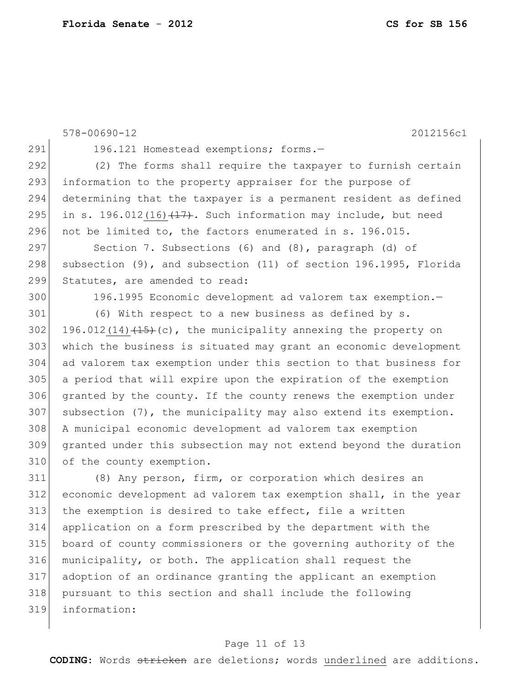578-00690-12 2012156c1 291 196.121 Homestead exemptions; forms.- (2) The forms shall require the taxpayer to furnish certain 293 information to the property appraiser for the purpose of determining that the taxpayer is a permanent resident as defined 295 in s. 196.012(16) $(17)$ . Such information may include, but need 296 not be limited to, the factors enumerated in s. 196.015. Section 7. Subsections (6) and (8), paragraph (d) of 298 subsection (9), and subsection (11) of section 196.1995, Florida 299 Statutes, are amended to read: 196.1995 Economic development ad valorem tax exemption.— 301 (6) With respect to a new business as defined by s. 302 196.012(14) $(15)$  (c), the municipality annexing the property on which the business is situated may grant an economic development ad valorem tax exemption under this section to that business for a period that will expire upon the expiration of the exemption granted by the county. If the county renews the exemption under subsection (7), the municipality may also extend its exemption. A municipal economic development ad valorem tax exemption granted under this subsection may not extend beyond the duration 310 of the county exemption. (8) Any person, firm, or corporation which desires an economic development ad valorem tax exemption shall, in the year 313 the exemption is desired to take effect, file a written application on a form prescribed by the department with the board of county commissioners or the governing authority of the municipality, or both. The application shall request the adoption of an ordinance granting the applicant an exemption pursuant to this section and shall include the following information:

#### Page 11 of 13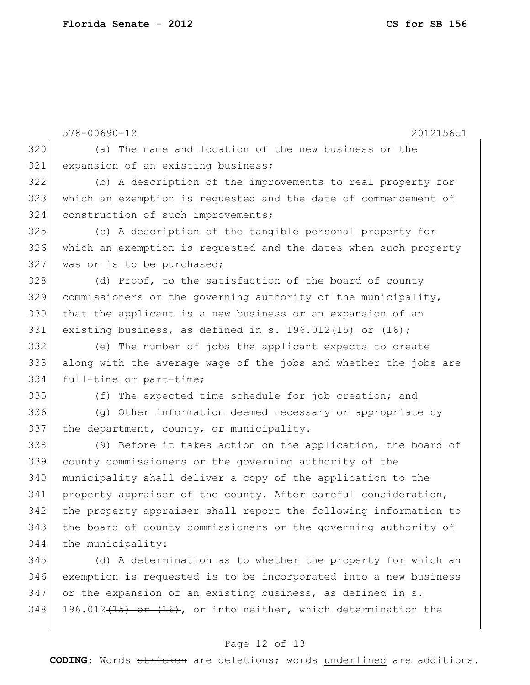578-00690-12 2012156c1 (a) The name and location of the new business or the 321 expansion of an existing business; (b) A description of the improvements to real property for which an exemption is requested and the date of commencement of 324 construction of such improvements; (c) A description of the tangible personal property for which an exemption is requested and the dates when such property 327 was or is to be purchased; 328 (d) Proof, to the satisfaction of the board of county commissioners or the governing authority of the municipality, 330 | that the applicant is a new business or an expansion of an 331 existing business, as defined in s.  $196.012(15)$  or  $(16)$ ; (e) The number of jobs the applicant expects to create along with the average wage of the jobs and whether the jobs are full-time or part-time; 335 (f) The expected time schedule for job creation; and (g) Other information deemed necessary or appropriate by 337 the department, county, or municipality. (9) Before it takes action on the application, the board of county commissioners or the governing authority of the municipality shall deliver a copy of the application to the 341 property appraiser of the county. After careful consideration, the property appraiser shall report the following information to 343 the board of county commissioners or the governing authority of the municipality: (d) A determination as to whether the property for which an exemption is requested is to be incorporated into a new business or the expansion of an existing business, as defined in s.

 $348$  196.012<del>(15) or (16)</del>, or into neither, which determination the

### Page 12 of 13